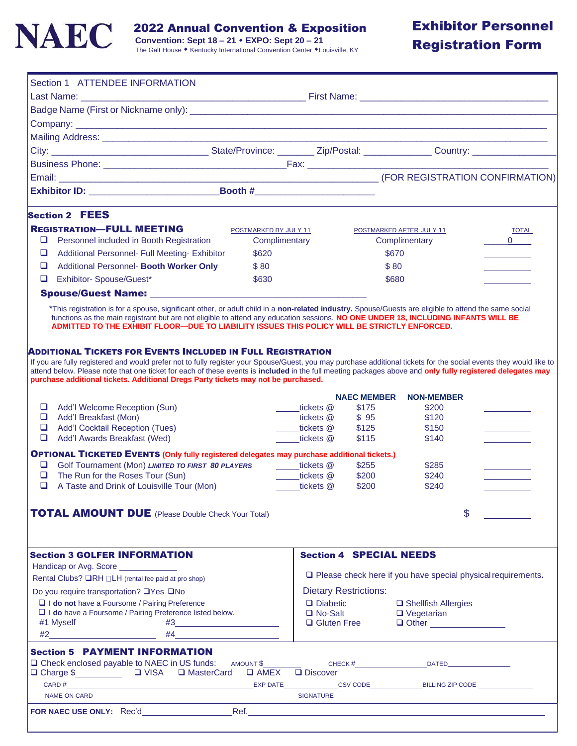

2022 Annual Convention & Exposition

 **Convention: Sept 18 – 21 EXPO: Sept 20 – 21**

# Exhibitor Personnel Registration Form

|             | Section 1 ATTENDEE INFORMATION                                                                                                                                                                                                                                                                                                                                                                                                                                                      |                       |                                                |                    |                                                                     |                                  |
|-------------|-------------------------------------------------------------------------------------------------------------------------------------------------------------------------------------------------------------------------------------------------------------------------------------------------------------------------------------------------------------------------------------------------------------------------------------------------------------------------------------|-----------------------|------------------------------------------------|--------------------|---------------------------------------------------------------------|----------------------------------|
|             |                                                                                                                                                                                                                                                                                                                                                                                                                                                                                     |                       |                                                |                    |                                                                     |                                  |
|             |                                                                                                                                                                                                                                                                                                                                                                                                                                                                                     |                       |                                                |                    |                                                                     |                                  |
|             |                                                                                                                                                                                                                                                                                                                                                                                                                                                                                     |                       |                                                |                    |                                                                     |                                  |
|             | Mailing Address: No. 2006. The Contract of the Contract of the Contract of the Contract of the Contract of the                                                                                                                                                                                                                                                                                                                                                                      |                       |                                                |                    |                                                                     |                                  |
|             |                                                                                                                                                                                                                                                                                                                                                                                                                                                                                     |                       |                                                |                    |                                                                     |                                  |
|             |                                                                                                                                                                                                                                                                                                                                                                                                                                                                                     |                       |                                                |                    |                                                                     |                                  |
|             |                                                                                                                                                                                                                                                                                                                                                                                                                                                                                     |                       |                                                |                    |                                                                     |                                  |
|             |                                                                                                                                                                                                                                                                                                                                                                                                                                                                                     |                       |                                                |                    |                                                                     |                                  |
|             | <b>Section 2 FEES</b>                                                                                                                                                                                                                                                                                                                                                                                                                                                               |                       |                                                |                    |                                                                     |                                  |
|             | <b>REGISTRATION-FULL MEETING</b>                                                                                                                                                                                                                                                                                                                                                                                                                                                    | POSTMARKED BY JULY 11 |                                                |                    | POSTMARKED AFTER JULY 11                                            | TOTAL.                           |
| ❏           | Personnel included in Booth Registration                                                                                                                                                                                                                                                                                                                                                                                                                                            | Complimentary         |                                                |                    | Complimentary                                                       | $\begin{array}{c} 0 \end{array}$ |
| ❏           | <b>Additional Personnel- Full Meeting- Exhibitor</b>                                                                                                                                                                                                                                                                                                                                                                                                                                | \$620                 |                                                | \$670              |                                                                     |                                  |
| □           | Additional Personnel- Booth Worker Only                                                                                                                                                                                                                                                                                                                                                                                                                                             | \$80                  |                                                | \$80               |                                                                     |                                  |
| □           | Exhibitor- Spouse/Guest*                                                                                                                                                                                                                                                                                                                                                                                                                                                            | \$630                 |                                                | \$680              |                                                                     |                                  |
|             | Spouse/Guest Name: <u>__________________</u>                                                                                                                                                                                                                                                                                                                                                                                                                                        |                       |                                                |                    |                                                                     |                                  |
|             | *This registration is for a spouse, significant other, or adult child in a non-related industry. Spouse/Guests are eligible to attend the same social<br>functions as the main registrant but are not eligible to attend any education sessions. NO ONE UNDER 18, INCLUDING INFANTS WILL BE<br>ADMITTED TO THE EXHIBIT FLOOR-DUE TO LIABILITY ISSUES THIS POLICY WILL BE STRICTLY ENFORCED.                                                                                         |                       |                                                |                    |                                                                     |                                  |
|             | ADDITIONAL TICKETS FOR EVENTS INCLUDED IN FULL REGISTRATION<br>If you are fully registered and would prefer not to fully register your Spouse/Guest, you may purchase additional tickets for the social events they would like to<br>attend below. Please note that one ticket for each of these events is included in the full meeting packages above and only fully registered delegates may<br>purchase additional tickets. Additional Dregs Party tickets may not be purchased. |                       |                                                |                    |                                                                     |                                  |
|             |                                                                                                                                                                                                                                                                                                                                                                                                                                                                                     |                       |                                                |                    |                                                                     |                                  |
|             |                                                                                                                                                                                                                                                                                                                                                                                                                                                                                     |                       |                                                | <b>NAEC MEMBER</b> | <b>NON-MEMBER</b>                                                   |                                  |
| □           | Add'l Welcome Reception (Sun)                                                                                                                                                                                                                                                                                                                                                                                                                                                       |                       | tickets @                                      | \$175              | \$200                                                               |                                  |
| ❏           | Add'l Breakfast (Mon)                                                                                                                                                                                                                                                                                                                                                                                                                                                               |                       | ____tickets @                                  | \$95               | \$120                                                               |                                  |
| $\Box$<br>❏ | <b>Add'I Cocktail Reception (Tues)</b><br>Add'l Awards Breakfast (Wed)                                                                                                                                                                                                                                                                                                                                                                                                              |                       | tickets @<br>tickets @                         | \$125<br>\$115     | \$150<br>\$140                                                      |                                  |
|             |                                                                                                                                                                                                                                                                                                                                                                                                                                                                                     |                       |                                                |                    |                                                                     |                                  |
| ❏           | <b>OPTIONAL TICKETED EVENTS (Only fully registered delegates may purchase additional tickets.)</b>                                                                                                                                                                                                                                                                                                                                                                                  |                       |                                                |                    |                                                                     |                                  |
| ❏           | Golf Tournament (Mon) LIMITED TO FIRST 80 PLAYERS<br>The Run for the Roses Tour (Sun)                                                                                                                                                                                                                                                                                                                                                                                               |                       | ____tickets @                                  | \$255<br>\$200     | \$285<br>\$240                                                      |                                  |
| ❏           | A Taste and Drink of Louisville Tour (Mon)                                                                                                                                                                                                                                                                                                                                                                                                                                          |                       | ____tickets @<br>tickets @                     | \$200              | \$240                                                               |                                  |
|             |                                                                                                                                                                                                                                                                                                                                                                                                                                                                                     |                       |                                                |                    |                                                                     |                                  |
|             | <b>TOTAL AMOUNT DUE</b> (Please Double Check Your Total)                                                                                                                                                                                                                                                                                                                                                                                                                            |                       |                                                |                    | $\mathsf{\$}$                                                       |                                  |
|             | <b>Section 3 GOLFER INFORMATION</b>                                                                                                                                                                                                                                                                                                                                                                                                                                                 |                       | <b>Section 4 SPECIAL NEEDS</b>                 |                    |                                                                     |                                  |
|             | Handicap or Avg. Score _____________                                                                                                                                                                                                                                                                                                                                                                                                                                                |                       |                                                |                    |                                                                     |                                  |
|             | Rental Clubs? <b>QRH</b> □LH (rental fee paid at pro shop)                                                                                                                                                                                                                                                                                                                                                                                                                          |                       |                                                |                    | $\Box$ Please check here if you have special physical requirements. |                                  |
|             | Do you require transportation? □Yes □No                                                                                                                                                                                                                                                                                                                                                                                                                                             |                       | <b>Dietary Restrictions:</b>                   |                    |                                                                     |                                  |
|             | $\Box$ I do not have a Foursome / Pairing Preference                                                                                                                                                                                                                                                                                                                                                                                                                                |                       |                                                |                    | □ Shellfish Allergies                                               |                                  |
|             | I I do have a Foursome / Pairing Preference listed below.                                                                                                                                                                                                                                                                                                                                                                                                                           |                       | $\Box$ Diabetic<br>$\Box$ No-Salt<br>□ No-Salt |                    | $\Box$ Vegetarian                                                   |                                  |
|             | #1 Myself                                                                                                                                                                                                                                                                                                                                                                                                                                                                           | #4                    | $\Box$ Gluten Free                             |                    | $\Box$ Other                                                        |                                  |
|             | $\#2 \qquad \qquad \overbrace{\qquad \qquad }$<br><b>Section 5 PAYMENT INFORMATION</b>                                                                                                                                                                                                                                                                                                                                                                                              |                       |                                                |                    |                                                                     |                                  |
|             | □ Check enclosed payable to NAEC in US funds:                                                                                                                                                                                                                                                                                                                                                                                                                                       | AMOUNT \$             |                                                |                    |                                                                     |                                  |
|             | □ Charge \$<br>□ VISA □ MasterCard □ AMEX □ Discover                                                                                                                                                                                                                                                                                                                                                                                                                                |                       |                                                |                    |                                                                     |                                  |
|             |                                                                                                                                                                                                                                                                                                                                                                                                                                                                                     |                       |                                                |                    |                                                                     |                                  |